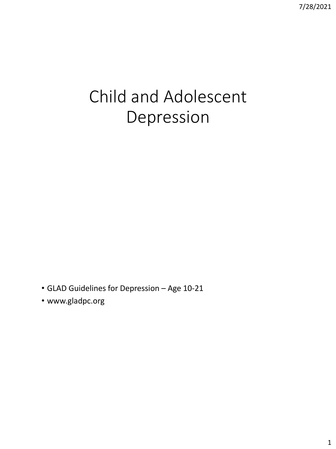# Child and Adolescent Depression

• GLAD Guidelines for Depression – Age 10-21

• www.gladpc.org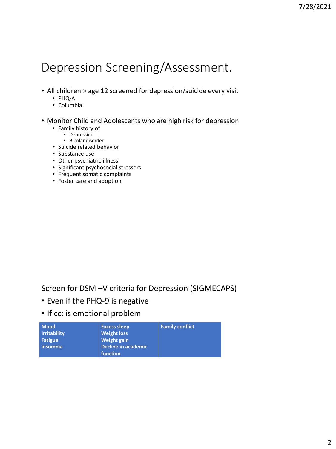# Depression Screening/Assessment.

- All children > age 12 screened for depression/suicide every visit
	- PHQ-A
	- Columbia
- Monitor Child and Adolescents who are high risk for depression
	- Family history of
		- Depression
		- Bipolar disorder
	- Suicide related behavior
	- Substance use
	- Other psychiatric illness
	- Significant psychosocial stressors
	- Frequent somatic complaints
	- Foster care and adoption

#### Screen for DSM –V criteria for Depression (SIGMECAPS)

- Even if the PHQ-9 is negative
- If cc: is emotional problem

| <b>Mood</b>         | <b>Excess sleep</b> | <b>Family conflict</b> |
|---------------------|---------------------|------------------------|
| <b>Irritability</b> | <b>Weight loss</b>  |                        |
| Fatigue             | <b>Weight gain</b>  |                        |
| insomnia            | Decline in academic |                        |
|                     | <b>function</b> '   |                        |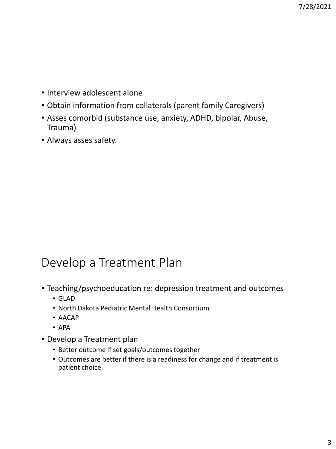- Interview adolescent alone
- Obtain information from collaterals (parent family Caregivers)
- Asses comorbid (substance use, anxiety, ADHD, bipolar, Abuse, Trauma)
- Always asses safety.

## Develop a Treatment Plan

- Teaching/psychoeducation re: depression treatment and outcomes
	- GLAD
	- North Dakota Pediatric Mental Health Consortium
	- AACAP
	- APA
- Develop a Treatment plan
	- Better outcome if set goals/outcomes together
	- Outcomes are better if there is a readiness for change and if treatment is patient choice.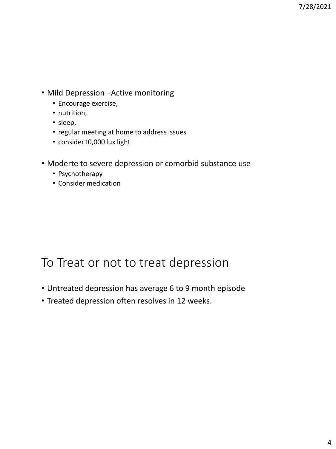- Mild Depression –Active monitoring
	- Encourage exercise,
	- nutrition,
	- sleep,
	- regular meeting at home to address issues
	- consider10,000 lux light
- Moderte to severe depression or comorbid substance use
	- Psychotherapy
	- Consider medication

#### To Treat or not to treat depression

- Untreated depression has average 6 to 9 month episode
- Treated depression often resolves in 12 weeks.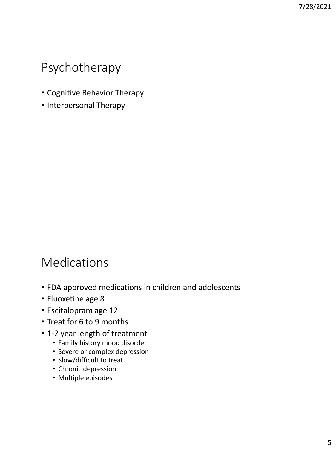### Psychotherapy

- Cognitive Behavior Therapy
- Interpersonal Therapy

### Medications

- FDA approved medications in children and adolescents
- Fluoxetine age 8
- Escitalopram age 12
- Treat for 6 to 9 months
- 1-2 year length of treatment
	- Family history mood disorder
	- Severe or complex depression
	- Slow/difficult to treat
	- Chronic depression
	- Multiple episodes